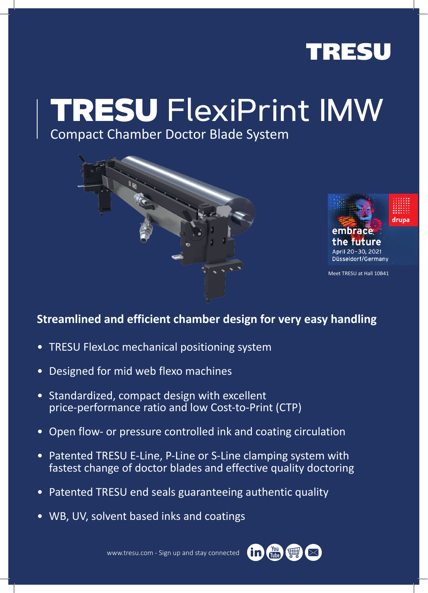

# TRESU FlexiPrint IMW

## Compact Chamber Doctor Blade System





Düsseldorf/Germany

Meet TRESU at Hall 10B41

### **Streamlined and efficient chamber design for very easy handling**

- TRESU FlexLoc mechanical positioning system
- Designed for mid web flexo machines
- Standardized, compact design with excellent price-performance ratio and low Cost-to-Print (CTP)
- Open flow- or pressure controlled ink and coating circulation
- Patented TRESU E-Line, P-Line or S-Line clamping system with fastest change of doctor blades and effective quality doctoring
- Patented TRESU end seals guaranteeing authentic quality
- WB, UV, solvent based inks and coatings

www.tresu.com - Sign up and stay connected